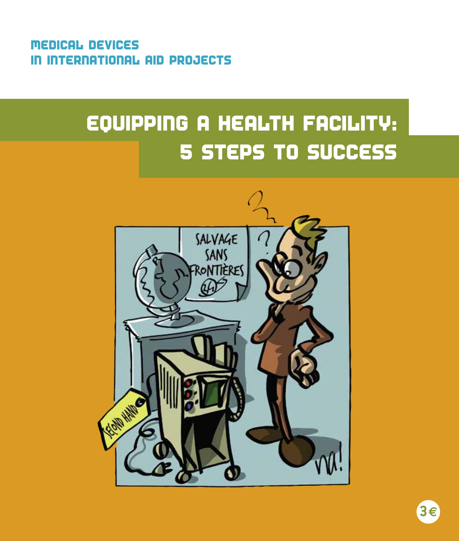MEDICAL DEVICES IN INTERNATIONAL AID PROJECTS

# Equipping A HEALTH FACILITY: 5 STEPS TO SUCCESS



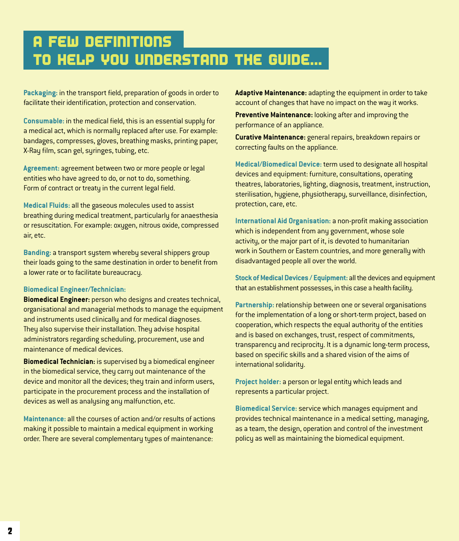# A FEW DEFINITIONS TO HELP YOU UNDERSTAND THE GUIDE…

**Packaging:** in the transport field, preparation of goods in order to facilitate their identification, protection and conservation.

**Consumable:** in the medical field, this is an essential supply for a medical act, which is normally replaced after use. For example: bandages, compresses, gloves, breathing masks, printing paper, X-Ray film, scan gel, suringes, tubing, etc.

**Agreement:** agreement between two or more people or legal entities who have agreed to do, or not to do, something. Form of contract or treaty in the current legal field.

**Medical Fluids:** all the gaseous molecules used to assist breathing during medical treatment, particularly for anaesthesia or resuscitation. For example: oxygen, nitrous oxide, compressed air, etc.

**Banding:** a transport system whereby several shippers group their loads going to the same destination in order to benefit from a lower rate or to facilitate bureaucracy.

#### **Biomedical Engineer/Technician:**

**Biomedical Engineer:** person who designs and creates technical, organisational and managerial methods to manage the equipment and instruments used clinically and for medical diagnoses. They also supervise their installation. They advise hospital administrators regarding scheduling, procurement, use and maintenance of medical devices.

**Biomedical Technician:** is supervised by a biomedical engineer in the biomedical service, they carry out maintenance of the device and monitor all the devices; they train and inform users, participate in the procurement process and the installation of devices as well as analysing any malfunction, etc.

**Maintenance:** all the courses of action and/or results of actions making it possible to maintain a medical equipment in working order. There are several complementary types of maintenance:

**Adaptive Maintenance:** adapting the equipment in order to take account of changes that have no impact on the way it works.

**Preventive Maintenance:** looking after and improving the performance of an appliance.

**Curative Maintenance:** general repairs, breakdown repairs or correcting faults on the appliance.

**Medical/Biomedical Device:** term used to designate all hospital devices and equipment: furniture, consultations, operating theatres, laboratories, lighting, diagnosis, treatment, instruction, sterilisation, hygiene, physiotherapy, surveillance, disinfection, protection, care, etc.

**International Aid Organisation:** a non-profit making association which is independent from any government, whose sole activity, or the major part of it, is devoted to humanitarian work in Southern or Eastern countries, and more generally with disadvantaged people all over the world.

**Stock of Medical Devices / Equipment:** all the devices and equipment that an establishment possesses, in this case a health facility.

**Partnership:** relationship between one or several organisations for the implementation of a long or short-term project, based on cooperation, which respects the equal authority of the entities and is based on exchanges, trust, respect of commitments, transparency and reciprocity. It is a dynamic long-term process, based on specific skills and a shared vision of the aims of international solidarity.

**Project holder:** a person or legal entity which leads and represents a particular project.

**Biomedical Service:** service which manages equipment and provides technical maintenance in a medical setting, managing, as a team, the design, operation and control of the investment policy as well as maintaining the biomedical equipment.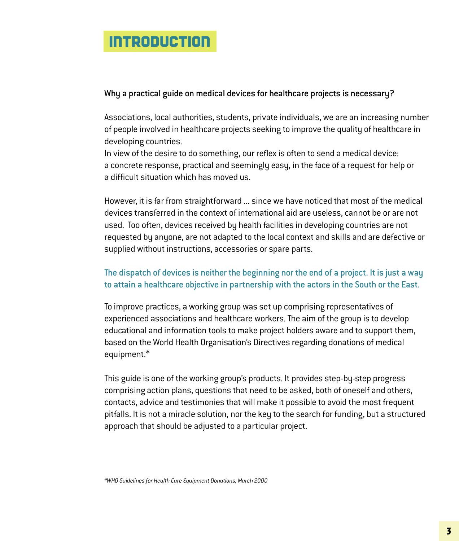# **INTRODUCTION**

### Why a practical guide on medical devices for healthcare projects is necessary?

Associations, local authorities, students, private individuals, we are an increasing number of people involved in healthcare projects seeking to improve the quality of healthcare in developing countries.

In view of the desire to do something, our reflex is often to send a medical device: a concrete response, practical and seemingly easy, in the face of a request for help or a difficult situation which has moved us.

However, it is far from straightforward ... since we have noticed that most of the medical devices transferred in the context of international aid are useless, cannot be or are not used. Too often, devices received by health facilities in developing countries are not requested by anyone, are not adapted to the local context and skills and are defective or supplied without instructions, accessories or spare parts.

### The dispatch of devices is neither the beginning nor the end of a project. It is just a way to attain a healthcare objective in partnership with the actors in the South or the East.

To improve practices, a working group was set up comprising representatives of experienced associations and healthcare workers. The aim of the group is to develop educational and information tools to make project holders aware and to support them, based on the World Health Organisation's Directives regarding donations of medical equipment.\*

This guide is one of the working group's products. It provides step-by-step progress comprising action plans, questions that need to be asked, both of oneself and others, contacts, advice and testimonies that will make it possible to avoid the most frequent pitfalls. It is not a miracle solution, nor the key to the search for funding, but a structured approach that should be adjusted to a particular project.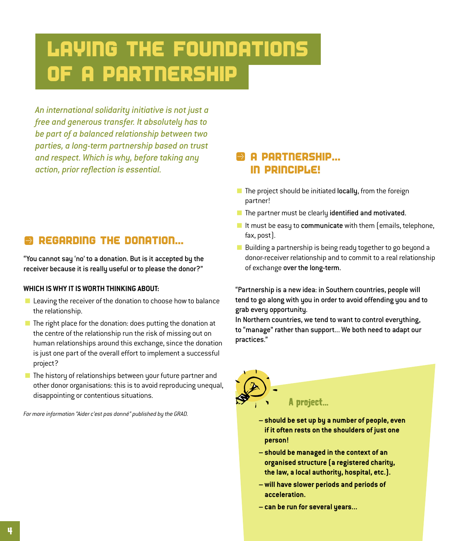# LAYING THE FOUNDATIONS OF A PARTNERSHIP

*An international solidarity initiative is not just a free and generous transfer. It absolutely has to be part of a balanced relationship between two parties, a long-term partnership based on trust and respect. Which is why, before taking any action, prior reflection is essential.* 

# A REGARDING THE DONATION...

"You cannot say 'no' to a donation. But is it accepted by the receiver because it is really useful or to please the donor?"

#### **WHICH IS WHY IT IS WORTH THINKING ABOUT:**

- **Leaving the receiver of the donation to choose how to balance** the relationship.
- $\blacksquare$  The right place for the donation: does putting the donation at the centre of the relationship run the risk of missing out on human relationships around this exchange, since the donation is just one part of the overall effort to implement a successful project?
- $\blacksquare$  The history of relationships between your future partner and other donor organisations: this is to avoid reproducing unequal, disappointing or contentious situations.

*For more information "Aider c'est pas donné" published by the GRAD.*

# A A PARTNERSHIP… IN PRINCIPLE!

- $\blacksquare$  The project should be initiated locally, from the foreign partner!
- $\blacksquare$  The partner must be clearly identified and motivated.
- If must be easy to communicate with them (emails, telephone, fax, post).
- Building a partnership is being ready together to go beyond a donor-receiver relationship and to commit to a real relationship of exchange over the long-term.

"Partnership is a new idea: in Southern countries, people will tend to go along with you in order to avoid offending you and to grab every opportunity.

In Northern countries, we tend to want to control everything, to "manage" rather than support... We both need to adapt our practices."



#### A project...

- **should be set up by a number of people, even if it often rests on the shoulders of just one person!**
- **should be managed in the context of an organised structure (a registered charity, the law, a local authority, hospital, etc.).**
- **will have slower periods and periods of acceleration.**
- **can be run for several years...**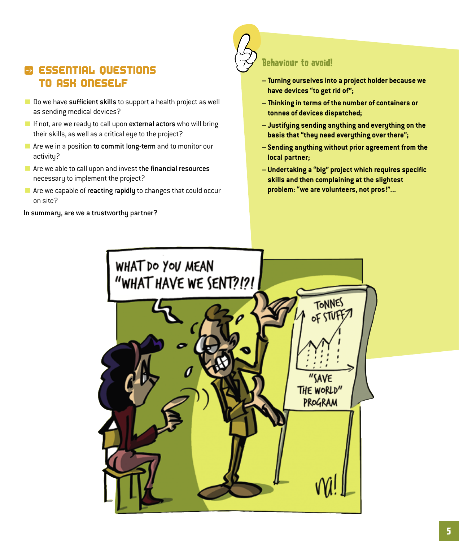# **B** ESSENTIAL QUESTIONS TO ASK ONESELF

- Do we have sufficient skills to support a health project as well as sending medical devices?
- $\blacksquare$  If not, are we ready to call upon external actors who will bring their skills, as well as a critical eye to the project?
- $\blacksquare$  Are we in a position to commit long-term and to monitor our activity?
- $\blacksquare$  Are we able to call upon and invest the financial resources necessary to implement the project?
- **Are we capable of reacting rapidly to changes that could occur** on site?

In summary, are we a trustworthy partner?

### Behaviour to avoid!

- **Turning ourselves into a project holder because we have devices "to get rid of";**
- **Thinking in terms of the number of containers or tonnes of devices dispatched;**
- **Justifying sending anything and everything on the basis that "they need everything over there";**
- **Sending anything without prior agreement from the local partner;**
- **Undertaking a "big" project which requires specific skills and then complaining at the slightest problem: "we are volunteers, not pros!"...**

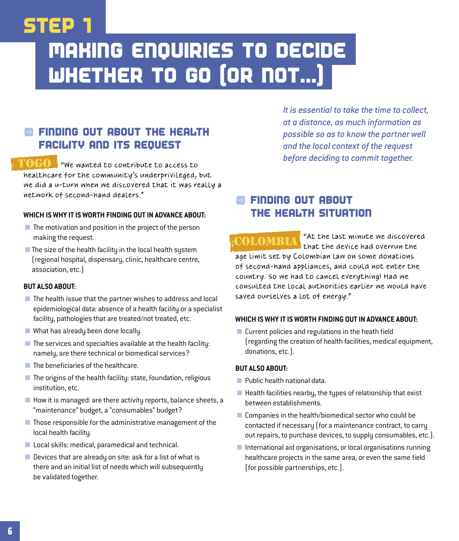# STEP 1

# MAKING ENQUIRIES TO DECIDE WHETHER TO GO (OR NOT…)

# A FINDING OUT ABOUT THE HEALTH FACILITY AND ITS REQUEST

*before deciding to commit together.* "We wanted to contribute to access to Healthcare for the community's underprivileged, but we did a u-turn when we discovered that it was really a network of second-hand dealers."

#### **WHICH IS WHY IT IS WORTH FINDING OUT IN ADVANCE ABOUT:**

- $\blacksquare$  The motivation and position in the project of the person making the request.
- $\blacksquare$  The size of the health facility in the local health system (regional hospital, dispensary, clinic, healthcare centre, association, etc.)

#### **BUT ALSO ABOUT:**

- $\blacksquare$  The health issue that the partner wishes to address and local epidemiological data: absence of a health facility or a specialist facility, pathologies that are treated/not treated, etc.
- What has already been done locally.
- $\blacksquare$  The services and specialties available at the health facility: namely, are there technical or biomedical services?
- $\blacksquare$  The beneficiaries of the healthcare.
- $\blacksquare$  The origins of the health facility: state, foundation, religious institution, etc.
- $\blacksquare$  How it is managed: are there activity reports, balance sheets, a "maintenance" budget, a "consumables" budget?
- $\blacksquare$  Those responsible for the administrative management of the local health facility.
- Local skills: medical, paramedical and technical.
- $\blacksquare$  Devices that are already on site: ask for a list of what is there and an initial list of needs which will subsequently be validated together.

*It is essential to take the time to collect, at a distance, as much information as possible so as to know the partner well and the local context of the request* 

# A FINDING OUT ABOUT THE HEALTH SITUATION

"At the last minute we discovered that the device had overrun the that the device had overrun the age limit set by Colombian law on some donations of second-hand appliances, and could not enter the country. So we had to cancel everything! Had we consulted the local authorities earlier we would have saved ourselves a lot of energy."

#### **WHICH IS WHY IT IS WORTH FINDING OUT IN ADVANCE ABOUT:**

 $\blacksquare$  Current policies and regulations in the heath field (regarding the creation of health facilities, medical equipment, donations, etc.).

#### **BUT ALSO ABOUT:**

- **Public health national data.**
- $\blacksquare$  Health facilities nearby, the types of relationship that exist between establishments.
- $\blacksquare$  Companies in the health/biomedical sector who could be contacted if necessary (for a maintenance contract, to carry out repairs, to purchase devices, to supply consumables, etc.).
- **International aid organisations, or local organisations running** healthcare projects in the same area, or even the same field (for possible partnerships, etc.).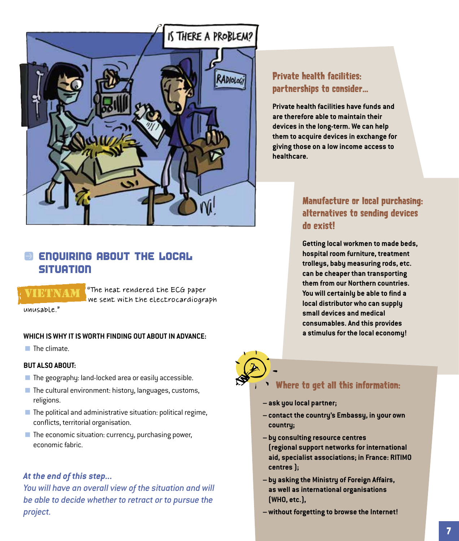

# **B** ENQUIRING ABOUT THE LOCAL **SITUATION**



"The heat rendered the ECG paper we sent with the electrocardiograph

unusable."

#### **WHICH IS WHY IT IS WORTH FINDING OUT ABOUT IN ADVANCE:**

■ The climate.

#### **BUT ALSO ABOUT:**

- $\blacksquare$  The geography: land-locked area or easily accessible.
- $\blacksquare$  The cultural environment: history, languages, customs, religions.
- $\blacksquare$  The political and administrative situation: political regime, conflicts, territorial organisation.
- $\blacksquare$  The economic situation: currency, purchasing power, economic fabric.

#### *At the end of this step...*

*You will have an overall view of the situation and will be able to decide whether to retract or to pursue the project.* 

# partnerships to consider...

**Private health facilities have funds and are therefore able to maintain their devices in the long-term. We can help them to acquire devices in exchange for giving those on a low income access to healthcare.**

## Manufacture or local purchasing: alternatives to sending devices do exist!

**Getting local workmen to made beds, hospital room furniture, treatment trolleys, baby measuring rods, etc. can be cheaper than transporting them from our Northern countries. You will certainly be able to find a local distributor who can supply small devices and medical consumables. And this provides a stimulus for the local economy!** 



### Where to get all this information:

- **ask you local partner;**
- **contact the country's Embassy, in your own country;**
- **by consulting resource centres (regional support networks for international aid, specialist associations; in France: RITIMO centres );**
- **by asking the Ministry of Foreign Affairs, as well as international organisations (WHO, etc.),**
- **without forgetting to browse the Internet!**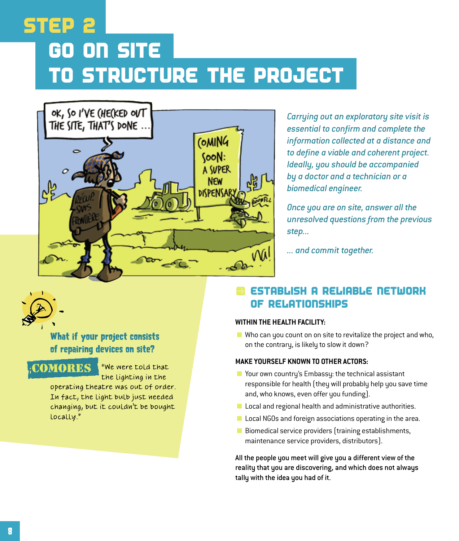# STEP 2 GO ON SITE TO STRUCTURE THE PROJECT



*Carrying out an exploratory site visit is essential to confirm and complete the information collected at a distance and to define a viable and coherent project. Ideally, you should be accompanied by a doctor and a technician or a biomedical engineer.*

*Once you are on site, answer all the unresolved questions from the previous step...*

*... and commit together.* 

# A ESTABLISH A RELIABLE NETWORK OF RELATIONSHIPS

#### **WITHIN THE HEALTH FACILITY:**

 $\blacksquare$  Who can you count on on site to revitalize the project and who, on the contrary, is likely to slow it down?

#### **MAKE YOURSELF KNOWN TO OTHER actors:**

- $\blacksquare$  Your own country's Embassy: the technical assistant responsible for health (they will probably help you save time and, who knows, even offer you funding).
- $\blacksquare$  Local and regional health and administrative authorities.
- $\blacksquare$  Local NGOs and foreign associations operating in the area.
- **Biomedical service providers (training establishments,** maintenance service providers, distributors).

All the people you meet will give you a different view of the reality that you are discovering, and which does not always tally with the idea you had of it.

What if your project consists of repairing devices on site?

# COMORES

"We were told that the lighting in the

operating theatre was out of order. In fact, the light bulb just needed changing, but it couldn't be bought locally."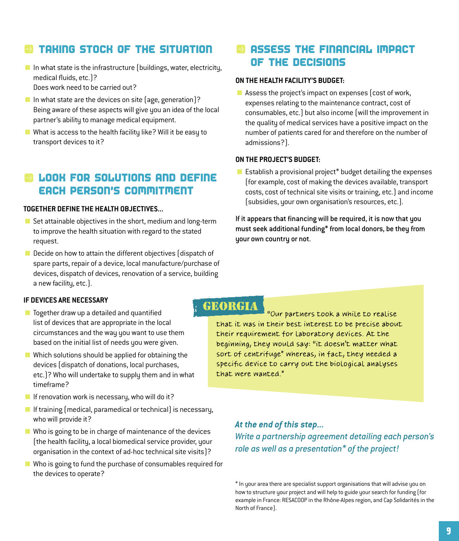## TAKING STOCK OF THE SITUATION

- $\blacksquare$  In what state is the infrastructure (buildings, water, electricity, medical fluids, etc.)? Does work need to be carried out?
- In what state are the devices on site (age, generation)? Being aware of these aspects will give you an idea of the local partner's ability to manage medical equipment.
- $\blacksquare$  What is access to the health facility like? Will it be easy to transport devices to it?

# A LOOK FOR SOLUTIONS AND DEFINE EACH PERSON'S COMMITMENT

#### **TOGETHER DEFINE THE HEALTH OBJECTIVES...**

- $\blacksquare$  Set attainable objectives in the short, medium and long-term to improve the health situation with regard to the stated request.
- $\blacksquare$  Decide on how to attain the different objectives (dispatch of spare parts, repair of a device, local manufacture/purchase of devices, dispatch of devices, renovation of a service, building a new facility, etc.).

#### **IF DEVICES ARE NECESSARY**

- $\blacksquare$  Together draw up a detailed and quantified list of devices that are appropriate in the local circumstances and the way you want to use them based on the initial list of needs you were given.
- $\blacksquare$  Which solutions should be applied for obtaining the devices (dispatch of donations, local purchases, etc.)? Who will undertake to supply them and in what timeframe?
- $\blacksquare$  If renovation work is necessary, who will do it?
- **If training (medical, paramedical or technical) is necessary,** who will provide it?
- $\blacksquare$  Who is going to be in charge of maintenance of the devices (the health facility, a local biomedical service provider, your organisation in the context of ad-hoc technical site visits)?
- Who is going to fund the purchase of consumables required for the devices to operate?

# A ASSESS THE FINANCIAL IMPACT OF THE DECISIONS

#### **ON THE HEALTH FACILITY'S BUDGET:**

 $\blacksquare$  Assess the project's impact on expenses (cost of work, expenses relating to the maintenance contract, cost of consumables, etc.) but also income (will the improvement in the quality of medical services have a positive impact on the number of patients cared for and therefore on the number of admissions?).

#### **ON THE PROJECT'S BUDGET:**

Establish a provisional project\* budget detailing the expenses (for example, cost of making the devices available, transport costs, cost of technical site visits or training, etc.) and income (subsidies, your own organisation's resources, etc.).

If it appears that financing will be required, it is now that you must seek additional funding\* from local donors, be they from your own country or not.

### GEORGIA

"Our partners took a while to realise that it was in their best interest to be precise about their requirement for laboratory devices. At the beginning, they would say: "it doesn't matter what sort of centrifuge" whereas, in fact, they needed a specific device to carry out the biological analyses that were wanted."

*At the end of this step... Write a partnership agreement detailing each person's role as well as a presentation\* of the project!*

<sup>\*</sup> In your area there are specialist support organisations that will advise you on how to structure your project and will help to guide your search for funding (for example in France: RESACOOP in the Rhône-Alpes region, and Cap Solidarités in the North of France).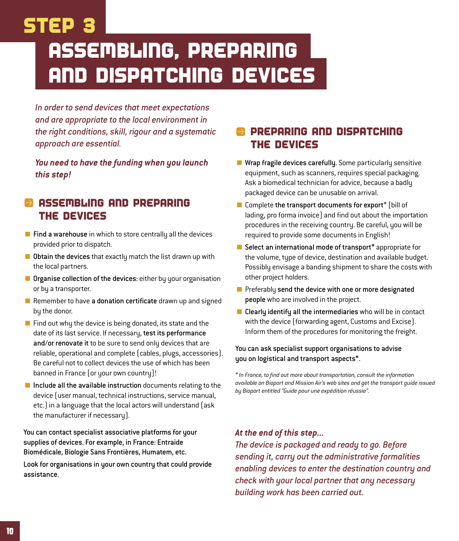# STEP 3

# ASSEMBLING, PREPARING AND DISPATCHING DEVICES

*In order to send devices that meet expectations and are appropriate to the local environment in the right conditions, skill, rigour and a systematic approach are essential.*

*You need to have the funding when you launch this step!*

# A ASSEMBLING AND PREPARING THE DEVICES

- $\blacksquare$  Find a warehouse in which to store centrally all the devices provided prior to dispatch.
- $\blacksquare$  Obtain the devices that exactly match the list drawn up with the local partners.
- **Organise collection of the devices:** either by your organisation or by a transporter.
- $\blacksquare$  Remember to have a donation certificate drawn up and signed by the donor.
- $\blacksquare$  Find out why the device is being donated, its state and the date of its last service. If necessary, test its performance and/or renovate it to be sure to send only devices that are reliable, operational and complete (cables, plugs, accessories). Be careful not to collect devices the use of which has been banned in France (or your own country)!
- $\blacksquare$  Include all the available instruction documents relating to the device (user manual, technical instructions, service manual, etc.) in a language that the local actors will understand (ask the manufacturer if necessary).

You can contact specialist associative platforms for your supplies of devices. For example, in France: Entraide Biomédicale, Biologie Sans Frontières, Humatem, etc.

Look for organisations in your own country that could provide assistance.

# A PREPARING AND DISPATCHING THE DEVICES

- $\blacksquare$  Wrap fragile devices carefully. Some particularly sensitive equipment, such as scanners, requires special packaging. Ask a biomedical technician for advice, because a badly packaged device can be unusable on arrival.
- $\blacksquare$  Complete the transport documents for export\* (bill of lading, pro forma invoice) and find out about the importation procedures in the receiving country. Be careful, you will be required to provide some documents in English!
- Select an international mode of transport\* appropriate for the volume, type of device, destination and available budget. Possibly envisage a banding shipment to share the costs with other project holders.
- $\blacksquare$  Preferably send the device with one or more designated people who are involved in the project.
- $\blacksquare$  Clearly identify all the intermediaries who will be in contact with the device (forwarding agent, Customs and Excise). Inform them of the procedures for monitoring the freight.

#### You can ask specialist support organisations to advise you on logistical and transport aspects\*.

*\* In France, to find out more about transportation, consult the information available on Bioport and Mission Air's web sites and get the transport guide issued by Bioport entitled "Guide pour une expédition réussie".*

### *At the end of this step...*

*The device is packaged and ready to go. Before sending it, carry out the administrative formalities enabling devices to enter the destination country and check with your local partner that any necessary building work has been carried out.*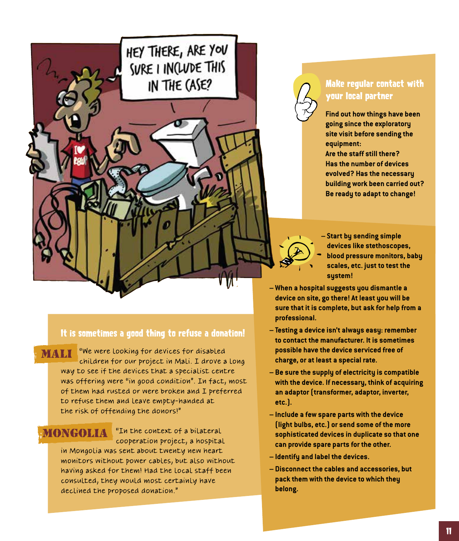

# Make regular contact with your local partner

**Find out how things have been going since the exploratory site visit before sending the equipment:** 

**Are the staff still there? Has the number of devices evolved? Has the necessary building work been carried out? Be ready to adapt to change!**



- **Start by sending simple devices like stethoscopes, blood pressure monitors, baby scales, etc. just to test the system!**
- **When a hospital suggests you dismantle a device on site, go there! At least you will be sure that it is complete, but ask for help from a professional.**
- **Testing a device isn't always easy: remember to contact the manufacturer. It is sometimes possible have the device serviced free of charge, or at least a special rate.**
- **Be sure the supply of electricity is compatible with the device. If necessary, think of acquiring an adaptor (transformer, adaptor, inverter, etc.).**
- **Include a few spare parts with the device (light bulbs, etc.) or send some of the more sophisticated devices in duplicate so that one can provide spare parts for the other.**
- **Identify and label the devices.**
- **Disconnect the cables and accessories, but pack them with the device to which they belong.**

### It is sometimes a good thing to refuse a donation!

"We were looking for devices for disabled children for our project in Mali. I drove a long way to see if the devices that a specialist centre was offering were "in good condition". In fact, most of them had rusted or were broken and I preferred to refuse them and leave empty-handed at the risk of offending the donors!" MALI

"In the context of a bilateral cooperation project, a hospital in Mongolia was sent about twenty new heart monitors without power cables, but also without having asked for them! Had the local staff been consulted, they would most certainly have declined the proposed donation." MONTEN VARIA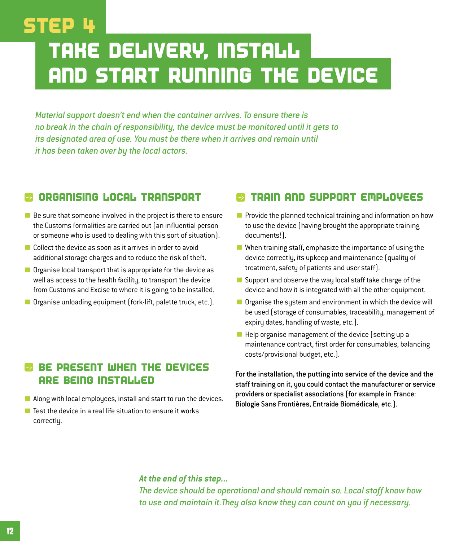# STEP 4 TAKE DELIVERY, INSTALL AND START RUNNING THE DEVICE

*Material support doesn't end when the container arrives. To ensure there is no break in the chain of responsibility, the device must be monitored until it gets to its designated area of use. You must be there when it arrives and remain until it has been taken over by the local actors.* 

# A ORGANISING LOCAL TRANSPORT

- $\blacksquare$  Be sure that someone involved in the project is there to ensure the Customs formalities are carried out (an influential person or someone who is used to dealing with this sort of situation).
- **Collect the device as soon as it arrives in order to avoid** additional storage charges and to reduce the risk of theft.
- Organise local transport that is appropriate for the device as well as access to the health facility, to transport the device from Customs and Excise to where it is going to be installed.
- Organise unloading equipment (fork-lift, palette truck, etc.).

# A BE PRESENT WHEN THE DEVICES ARE BEING INSTALLED

- $\blacksquare$  Along with local employees, install and start to run the devices.
- $\blacksquare$  Test the device in a real life situation to ensure it works correctly.

# A TRAIN AND SUPPORT EMPLOYEES

- $\blacksquare$  Provide the planned technical training and information on how to use the device (having brought the appropriate training documents!).
- $\blacksquare$  When training staff, emphasize the importance of using the device correctly, its upkeep and maintenance (quality of treatment, safety of patients and user staff).
- $\blacksquare$  Support and observe the way local staff take charge of the device and how it is integrated with all the other equipment.
- $\blacksquare$  Organise the system and environment in which the device will be used (storage of consumables, traceability, management of expiry dates, handling of waste, etc.).
- Help organise management of the device (setting up a maintenance contract, first order for consumables, balancing costs/provisional budget, etc.).

For the installation, the putting into service of the device and the staff training on it, you could contact the manufacturer or service providers or specialist associations (for example in France: Biologie Sans Frontières, Entraide Biomédicale, etc.).

#### *At the end of this step...*

*The device should be operational and should remain so. Local staff know how to use and maintain it.They also know they can count on you if necessary.*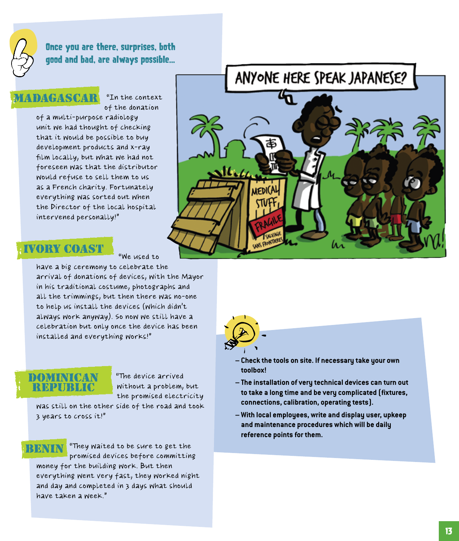

Once you are there, surprises, both good and bad, are always possible...

# MADAGASCAR

 "In the context of the donation

of a multi-purpose radiology unit we had thought of checking that it would be possible to buy development products and x-ray film locally, but what we had not foreseen was that the distributor would refuse to sell them to us as a French charity. Fortunately everything was sorted out when the Director of the local hospital intervened personally!"

# IVORY COAST

"We used to

have a big ceremony to celebrate the arrival of donations of devices, with the Mayor in his traditional costume, photographs and all the trimmings, but then there was no-one to help us install the devices (which didn't always work anyway). So now we still have a celebration but only once the device has been installed and everything works!"

# DOMINICAN<br>|REPHRLIC <u>REPUBLIC</u>

"The device arrived without a problem, but the promised electricity

was still on the other side of the road and took 3 years to cross it!"

# **BEALVALY**

"They waited to be sure to get the promised devices before committing money for the building work. But then

everything went very fast, they worked night and day and completed in 3 days what should have taken a week."





- **Check the tools on site. If necessary take your own toolbox!**
- **The installation of very technical devices can turn out to take a long time and be very complicated (fixtures, connections, calibration, operating tests).**
- **With local employees, write and display user, upkeep and maintenance procedures which will be daily reference points for them.**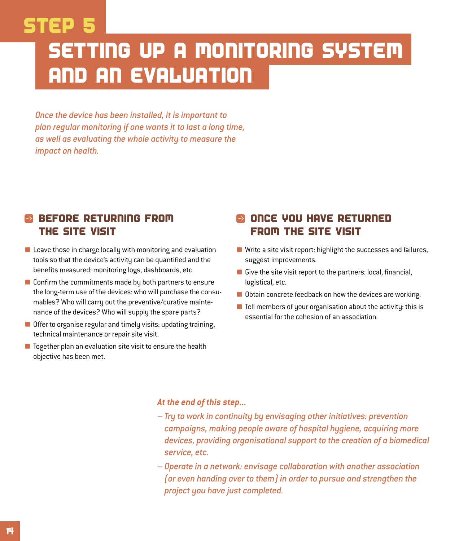# step 5

# SETTING UP A MONITORING SYSTEM AND AN EVALUATION

*Once the device has been installed, it is important to plan regular monitoring if one wants it to last a long time, as well as evaluating the whole activity to measure the impact on health.*

# **B** BEFORE RETURNING FROM THE SITE VISIT

- $\blacksquare$  Leave those in charge locally with monitoring and evaluation tools so that the device's activity can be quantified and the benefits measured: monitoring logs, dashboards, etc.
- $\blacksquare$  Confirm the commitments made by both partners to ensure the long-term use of the devices: who will purchase the consumables? Who will carry out the preventive/curative maintenance of the devices? Who will supply the spare parts?
- $\blacksquare$  Offer to organise regular and timely visits: updating training, technical maintenance or repair site visit.
- $\blacksquare$  Together plan an evaluation site visit to ensure the health objective has been met.

# **B** ONCE YOU HAVE RETURNED FROM THE SITE VISIT

- $\blacksquare$  Write a site visit report: highlight the successes and failures, suggest improvements.
- Give the site visit report to the partners: local, financial, logistical, etc.
- $\blacksquare$  Obtain concrete feedback on how the devices are working.
- $\blacksquare$  Tell members of your organisation about the activity: this is essential for the cohesion of an association.

#### *At the end of this step...*

- *Try to work in continuity by envisaging other initiatives: prevention campaigns, making people aware of hospital hygiene, acquiring more devices, providing organisational support to the creation of a biomedical service, etc.*
- *Operate in a network: envisage collaboration with another association (or even handing over to them) in order to pursue and strengthen the project you have just completed.*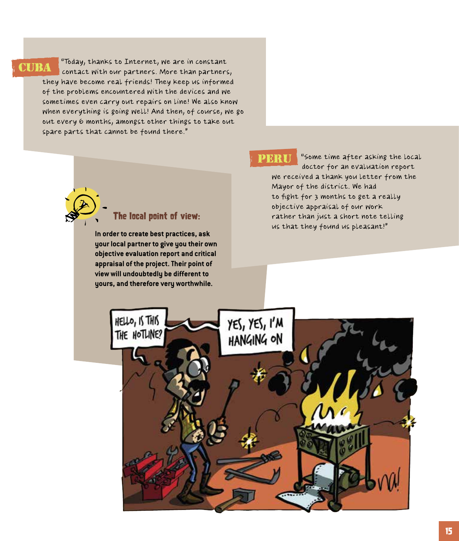CUBA

"Today, thanks to Internet, we are in constant contact with our partners. More than partners, they have become real friends! They keep us informed of the problems encountered with the devices and we sometimes even carry out repairs on line! We also know when everything is going well! And then, of course, we go out every 6 months, amongst other things to take out spare parts that cannot be found there."

"Some time after asking the local doctor for an evaluation report we received a thank you letter from the Mayor of the district. We had to fight for 3 months to get a really objective appraisal of our work rather than just a short note telling us that they found us pleasant!" **PERU** 

### The local point of view:

**In order to create best practices, ask your local partner to give you their own objective evaluation report and critical appraisal of the project. Their point of view will undoubtedly be different to yours, and therefore very worthwhile.**

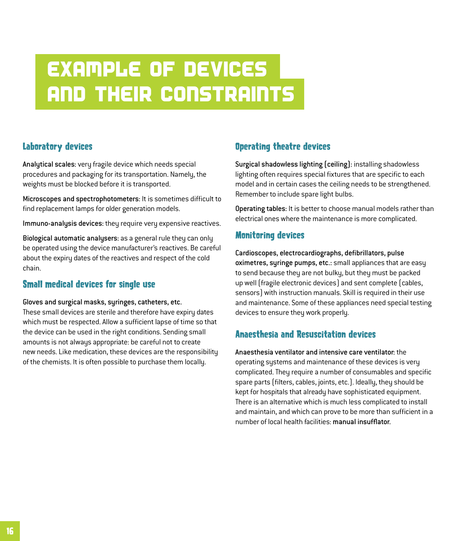# Example of devices and their constraints

## Laboratory devices

Analytical scales: very fragile device which needs special procedures and packaging for its transportation. Namely, the weights must be blocked before it is transported.

Microscopes and spectrophotometers: It is sometimes difficult to find replacement lamps for older generation models.

Immuno-analysis devices: they require very expensive reactives.

Biological automatic analysers: as a general rule they can only be operated using the device manufacturer's reactives. Be careful about the expiry dates of the reactives and respect of the cold chain.

### Small medical devices for single use

#### Gloves and surgical masks, syringes, catheters, etc.

These small devices are sterile and therefore have expiry dates which must be respected. Allow a sufficient lapse of time so that the device can be used in the right conditions. Sending small amounts is not always appropriate: be careful not to create new needs. Like medication, these devices are the responsibility of the chemists. It is often possible to purchase them locally.

### Operating theatre devices

Surgical shadowless lighting (ceiling): installing shadowless lighting often requires special fixtures that are specific to each model and in certain cases the ceiling needs to be strengthened. Remember to include spare light bulbs.

Operating tables: It is better to choose manual models rather than electrical ones where the maintenance is more complicated.

### Monitoring devices

Cardioscopes, electrocardiographs, defibrillators, pulse oximetres, syringe pumps, etc.: small appliances that are easy to send because they are not bulky, but they must be packed up well (fragile electronic devices) and sent complete (cables, sensors) with instruction manuals. Skill is required in their use and maintenance. Some of these appliances need special testing devices to ensure they work properly.

### Anaesthesia and Resuscitation devices

Anaesthesia ventilator and intensive care ventilator: the operating systems and maintenance of these devices is very complicated. They require a number of consumables and specific spare parts (filters, cables, joints, etc.). Ideally, they should be kept for hospitals that already have sophisticated equipment. There is an alternative which is much less complicated to install and maintain, and which can prove to be more than sufficient in a number of local health facilities: manual insufflator.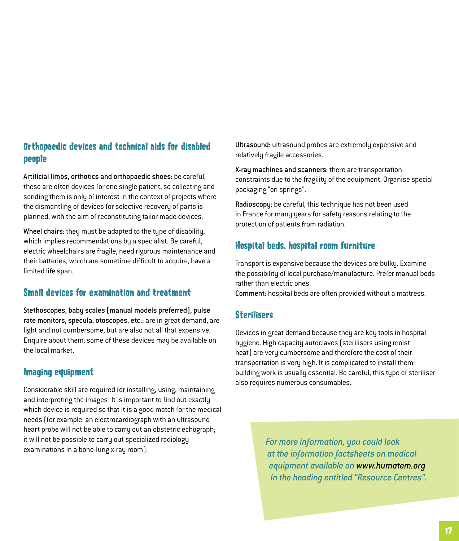## Orthopaedic devices and technical aids for disabled people

Artificial limbs, orthotics and orthopaedic shoes: be careful, these are often devices for one single patient, so collecting and sending them is only of interest in the context of projects where the dismantling of devices for selective recovery of parts is planned, with the aim of reconstituting tailor-made devices.

Wheel chairs: they must be adapted to the type of disability, which implies recommendations by a specialist. Be careful, electric wheelchairs are fragile, need rigorous maintenance and their batteries, which are sometime difficult to acquire, have a limited life span.

### Small devices for examination and treatment

Stethoscopes, baby scales (manual models preferred), pulse rate monitors, specula, otoscopes, etc.: are in great demand, are light and not cumbersome, but are also not all that expensive. Enquire about them: some of these devices may be available on the local market.

### Imaging equipment

Considerable skill are required for installing, using, maintaining and interpreting the images! It is important to find out exactly which device is required so that it is a good match for the medical needs (for example: an electrocardiograph with an ultrasound heart probe will not be able to carry out an obstetric echograph; it will not be possible to carry out specialized radiology examinations in a bone-lung x-ray room).

Ultrasound: ultrasound probes are extremely expensive and relatively fragile accessories.

X-ray machines and scanners: there are transportation constraints due to the fragility of the equipment. Organise special packaging "on springs".

Radioscopy: be careful, this technique has not been used in France for many years for safety reasons relating to the protection of patients from radiation.

### Hospital beds, hospital room furniture

Transport is expensive because the devices are bulky. Examine the possibility of local purchase/manufacture. Prefer manual beds rather than electric ones.

Comment: hospital beds are often provided without a mattress.

### **Sterilisers**

Devices in great demand because they are key tools in hospital hygiene. High capacity autoclaves (sterilisers using moist heat) are very cumbersome and therefore the cost of their transportation is very high. It is complicated to install them: building work is usually essential. Be careful, this type of steriliser also requires numerous consumables.

> *For more information, you could look at the information factsheets on medical equipment available on www.humatem.org in the heading entitled "Resource Centres".*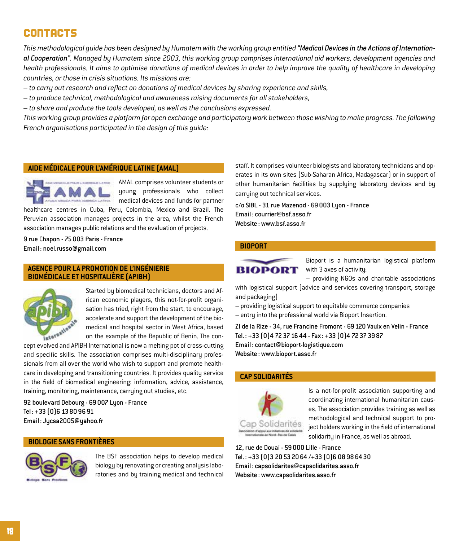# **CONTACTS**

*This methodological guide has been designed by Humatem with the working group entitled "Medical Devices in the Actions of International Cooperation". Managed by Humatem since 2003, this working group comprises international aid workers, development agencies and health professionals. It aims to optimise donations of medical devices in order to help improve the quality of healthcare in developing countries, or those in crisis situations. Its missions are:*

*– to carry out research and reflect on donations of medical devices by sharing experience and skills,* 

*– to produce technical, methodological and awareness raising documents for all stakeholders,*

*– to share and produce the tools developed, as well as the conclusions expressed.*

*This working group provides a platform for open exchange and participatory work between those wishing to make progress. The following French organisations participated in the design of this guide:* 

#### **Aide Médicale pour l'Amérique Latine (AMAL)**

IN PERSON L'ANNINGER DE LA TANK -

AMAL comprises volunteer students or young professionals who collect medical devices and funds for partner

healthcare centres in Cuba, Peru, Colombia, Mexico and Brazil. The Peruvian association manages projects in the area, whilst the French association manages public relations and the evaluation of projects.

9 rue Chapon - 75003 Paris - France Email : noel.russo@gmail.com

#### **Agence pour la Promotion de l'Ingénierie Biomédicale et Hospitalière (APIBH)**



Started by biomedical technicians, doctors and African economic players, this not-for-profit organisation has tried, right from the start, to encourage, accelerate and support the development of the biomedical and hospital sector in West Africa, based on the example of the Republic of Benin. The con-

cept evolved and APIBH International is now a melting pot of cross-cutting and specific skills. The association comprises multi-disciplinary professionals from all over the world who wish to support and promote healthcare in developing and transitioning countries. It provides quality service in the field of biomedical engineering: information, advice, assistance, training, monitoring, maintenance, carrying out studies, etc.

92 boulevard Debourg - 69007 Lyon - France Tel: +33 (0)6 13 80 96 91 Email : Jycsa2005@yahoo.fr

#### **Biologie Sans Frontières**



The BSF association helps to develop medical biology by renovating or creating analysis laboratories and by training medical and technical staff. It comprises volunteer biologists and laboratory technicians and operates in its own sites (Sub-Saharan Africa, Madagascar) or in support of other humanitarian facilities by supplying laboratory devices and by carrying out technical services.

c/o SIBL - 31 rue Mazenod - 69003 Lyon - France Email : courrier@bsf.asso.fr Website : www.bsf.asso.fr

#### **Bioport**



Bioport is a humanitarian logistical platform with 3 axes of activity:

– providing NGOs and charitable associations with logistical support (advice and services covering transport, storage and packaging)

– providing logistical support to equitable commerce companies

– entry into the professional world via Bioport Insertion.

ZI de la Rize - 34, rue Francine Fromont - 69120 Vaulx en Velin - France Tel. : +33 (0)4 72371644 - Fax : +33 (0)4 72373987 Email : contact@bioport-logistique.com Website : www.bioport.asso.fr

#### **Cap Solidarités**



Is a not-for-profit association supporting and coordinating international humanitarian causes. The association provides training as well as methodological and technical support to project holders working in the field of international solidarity in France, as well as abroad.

12, rue de Douai - 59000 Lille - France Tel. : +33 (0)3 20532064 /+33 (0)6 08986430 Email : capsolidarites@capsolidarites.asso.fr Website : www.capsolidarites.asso.fr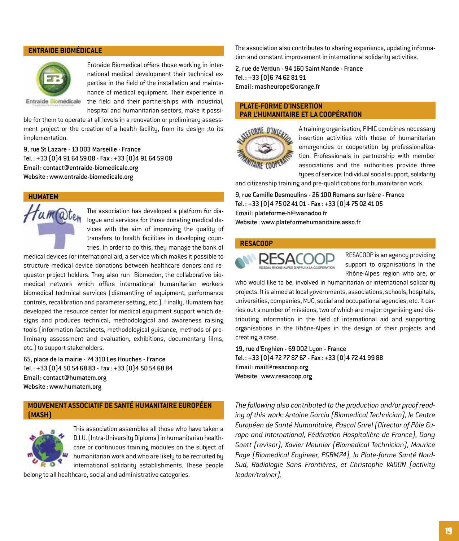#### **Entraide Biomédicale**



Entraide Biomedical offers those working in international medical development their technical expertise in the field of the installation and maintenance of medical equipment. Their experience in the field and their partnerships with industrial, hospital and humanitarian sectors, make it possi-

Entraide Biomédicale

ble for them to operate at all levels in a renovation or preliminary assessment project or the creation of a health facility, from its design ;to its implementation.

9, rue St Lazare - 13003 Marseille - France Tel. : +33 (0)4 91645908 - Fax : +33 (0)4 91645908 Email : contact@entraide-biomedicale.org Website : www.entraide-biomedicale.org

#### **Humatem**



The association has developed a platform for dialogue and services for those donating medical devices with the aim of improving the quality of transfers to health facilities in developing countries. In order to do this, they manage the bank of

medical devices for international aid, a service which makes it possible to structure medical device donations between healthcare donors and requestor project holders. They also run Biomedon, the collaborative biomedical network which offers international humanitarian workers biomedical technical services (dismantling of equipment, performance controls, recalibration and parameter setting, etc.). Finally, Humatem has developed the resource center for medical equipment support which designs and produces technical, methodological and awareness raising tools (information factsheets, methodological guidance, methods of preliminary assessment and evaluation, exhibitions, documentary films, etc.) to support stakeholders.

65, place de la mairie - 74310 Les Houches - France Tel. : +33 (0)4 50546883 - Fax : +33 (0)4 50546884 Email : contact@humatem.org Website : www.humatem.org

#### **Mouvement Associatif de Santé Humanitaire Européen (MASH)**



This association assembles all those who have taken a D.I.U. (Intra-University Diploma) in humanitarian healthcare or continuous training modules on the subject of humanitarian work and who are likely to be recruited by international solidarity establishments. These people

belong to all healthcare, social and administrative categories.

The association also contributes to sharing experience, updating information and constant improvement in international solidarity activities.

2, rue de Verdun - 94160 Saint Mande - France Tel.: +33 (0)6 74 62 81 91 Email : masheurope@orange.fr

#### **Plate-Forme d'Insertion par l'Humanitaire et la Coopération**



A training organisation, PIHIC combines necessary insertion activities with those of humanitarian emergencies or cooperation by professionalization. Professionals in partnership with member associations and the authorities provide three types of service: Individual social support, solidarity

and citizenship training and pre-qualifications for humanitarian work.

9, rue Camille Desmoulins - 26100 Romans sur Isère - France Tel. : +33 (0)4 75024101 - Fax : +33 (0)4 75024105 Email : plateforme-h@wanadoo.fr Website : www.plateformehumanitaire.asso.fr

#### **Resacoop**



RESACOOP is an agency providing support to organisations in the Rhône-Alpes region who are, or

who would like to be, involved in humanitarian or international solidarity projects. It is aimed at local governments, associations, schools, hospitals, universities, companies, MJC, social and occupational agencies, etc. It carries out a number of missions, two of which are major: organising and distributing information in the field of international aid and supporting organisations in the Rhône-Alpes in the design of their projects and creating a case.

19, rue d'Enghien - 69002 Lyon - France Tel. : +33 (0)4 72778767 - Fax : +33 (0)4 72419988 Email : mail@resacoop.org Website : www.resacoop.org

*The following also contributed to the production and/or proof reading of this work: Antoine Garcia (Biomedical Technician), le Centre Européen de Santé Humanitaire, Pascal Garel (Director of Pôle Europe and International, Fédération Hospitalière de France), Dany Goett (revisor), Xavier Meunier (Biomedical Technician), Maurice Page (Biomedical Engineer, PGBM74), la Plate-forme Santé Nord-Sud, Radiologie Sans Frontières, et Christophe VADON (activity leader/trainer).*